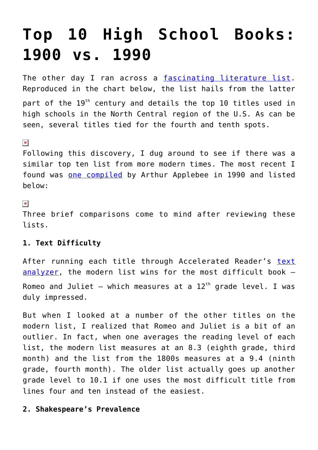# **[Top 10 High School Books:](https://intellectualtakeout.org/2016/09/top-10-high-school-books-1900-vs-1990/) [1900 vs. 1990](https://intellectualtakeout.org/2016/09/top-10-high-school-books-1900-vs-1990/)**

The other day I ran across a [fascinating literature list.](http://www.ncte.org/library/NCTEFiles/Centennial/Tradition-Reform.pdf) Reproduced in the chart below, the list hails from the latter part of the 19<sup>th</sup> century and details the top 10 titles used in high schools in the North Central region of the U.S. As can be seen, several titles tied for the fourth and tenth spots.

#### $\pmb{\times}$

Following this discovery, I dug around to see if there was a similar top ten list from more modern times. The most recent I found was [one compiled](http://www.ericdigests.org/pre-9214/book.htm) by Arthur Applebee in 1990 and listed below:

### $\pmb{\times}$

Three brief comparisons come to mind after reviewing these lists.

## **1. Text Difficulty**

After running each title through Accelerated Reader's [text](http://www1.renaissance.com/Products/Accelerated-Reader/ATOS/ATOS-Analyzer-for-Text/lang/english) [analyzer,](http://www1.renaissance.com/Products/Accelerated-Reader/ATOS/ATOS-Analyzer-for-Text/lang/english) the modern list wins for the most difficult book – Romeo and Juliet – which measures at a  $12<sup>th</sup>$  grade level. I was duly impressed.

But when I looked at a number of the other titles on the modern list, I realized that Romeo and Juliet is a bit of an outlier. In fact, when one averages the reading level of each list, the modern list measures at an 8.3 (eighth grade, third month) and the list from the 1800s measures at a 9.4 (ninth grade, fourth month). The older list actually goes up another grade level to 10.1 if one uses the most difficult title from lines four and ten instead of the easiest.

## **2. Shakespeare's Prevalence**